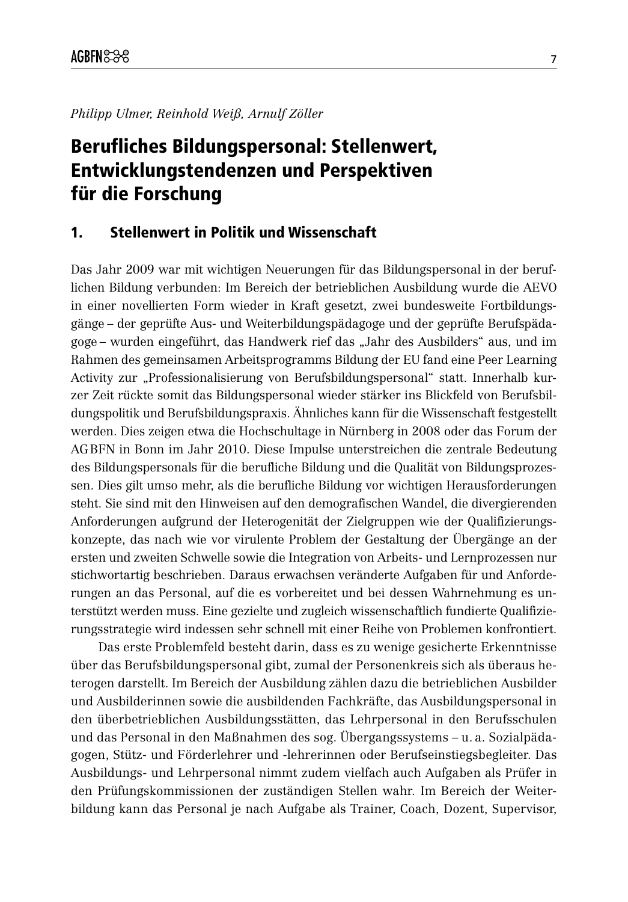Philipp Ulmer, Reinhold Weiß, Arnulf Zöller

# Berufliches Bildungspersonal: Stellenwert, **Entwicklungstendenzen und Perspektiven** für die Forschung

# $\mathbf 1$ . **Stellenwert in Politik und Wissenschaft**

Das Jahr 2009 war mit wichtigen Neuerungen für das Bildungspersonal in der beruflichen Bildung verbunden: Im Bereich der betrieblichen Ausbildung wurde die AEVO in einer novellierten Form wieder in Kraft gesetzt, zwei bundesweite Fortbildungsgänge – der geprüfte Aus- und Weiterbildungspädagoge und der geprüfte Berufspädagoge - wurden eingeführt, das Handwerk rief das "Jahr des Ausbilders" aus, und im Rahmen des gemeinsamen Arbeitsprogramms Bildung der EU fand eine Peer Learning Activity zur "Professionalisierung von Berufsbildungspersonal" statt. Innerhalb kurzer Zeit rückte somit das Bildungspersonal wieder stärker ins Blickfeld von Berufsbildungspolitik und Berufsbildungspraxis. Ähnliches kann für die Wissenschaft festgestellt werden. Dies zeigen etwa die Hochschultage in Nürnberg in 2008 oder das Forum der AGBFN in Bonn im Jahr 2010. Diese Impulse unterstreichen die zentrale Bedeutung des Bildungspersonals für die berufliche Bildung und die Qualität von Bildungsprozessen. Dies gilt umso mehr, als die berufliche Bildung vor wichtigen Herausforderungen steht. Sie sind mit den Hinweisen auf den demografischen Wandel, die divergierenden Anforderungen aufgrund der Heterogenität der Zielgruppen wie der Qualifizierungskonzepte, das nach wie vor virulente Problem der Gestaltung der Übergänge an der ersten und zweiten Schwelle sowie die Integration von Arbeits- und Lernprozessen nur stichwortartig beschrieben. Daraus erwachsen veränderte Aufgaben für und Anforderungen an das Personal, auf die es vorbereitet und bei dessen Wahrnehmung es unterstützt werden muss. Eine gezielte und zugleich wissenschaftlich fundierte Qualifizierungsstrategie wird indessen sehr schnell mit einer Reihe von Problemen konfrontiert.

Das erste Problemfeld besteht darin, dass es zu wenige gesicherte Erkenntnisse über das Berufsbildungspersonal gibt, zumal der Personenkreis sich als überaus heterogen darstellt. Im Bereich der Ausbildung zählen dazu die betrieblichen Ausbilder und Ausbilderinnen sowie die ausbildenden Fachkräfte, das Ausbildungspersonal in den überbetrieblichen Ausbildungsstätten, das Lehrpersonal in den Berufsschulen und das Personal in den Maßnahmen des sog. Übergangssystems – u. a. Sozialpädagogen, Stütz- und Förderlehrer und -lehrerinnen oder Berufseinstiegsbegleiter. Das Ausbildungs- und Lehrpersonal nimmt zudem vielfach auch Aufgaben als Prüfer in den Prüfungskommissionen der zuständigen Stellen wahr. Im Bereich der Weiterbildung kann das Personal je nach Aufgabe als Trainer, Coach, Dozent, Supervisor,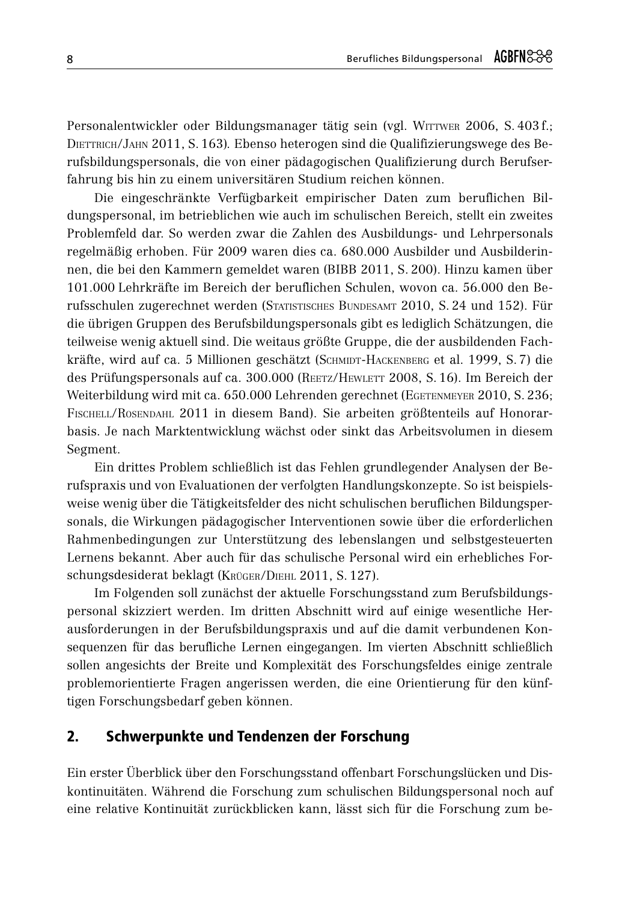Personalentwickler oder Bildungsmanager tätig sein (vgl. WITTWER 2006, S. 403 f.; DIETTRICH/JAHN 2011, S. 163). Ebenso heterogen sind die Qualifizierungswege des Berufsbildungspersonals, die von einer pädagogischen Qualifizierung durch Berufserfahrung bis hin zu einem universitären Studium reichen können.

Die eingeschränkte Verfügbarkeit empirischer Daten zum beruflichen Bildungspersonal, im betrieblichen wie auch im schulischen Bereich, stellt ein zweites Problemfeld dar. So werden zwar die Zahlen des Ausbildungs- und Lehrpersonals regelmäßig erhoben. Für 2009 waren dies ca. 680.000 Ausbilder und Ausbilderinnen, die bei den Kammern gemeldet waren (BIBB 2011, S. 200). Hinzu kamen über 101.000 Lehrkräfte im Bereich der beruflichen Schulen, wovon ca. 56.000 den Berufsschulen zugerechnet werden (STATISTISCHES BUNDESAMT 2010, S. 24 und 152). Für die übrigen Gruppen des Berufsbildungspersonals gibt es lediglich Schätzungen, die teilweise wenig aktuell sind. Die weitaus größte Gruppe, die der ausbildenden Fachkräfte, wird auf ca. 5 Millionen geschätzt (SCHMIDT-HACKENBERG et al. 1999, S.7) die des Prüfungspersonals auf ca. 300.000 (REETZ/HEWLETT 2008, S. 16). Im Bereich der Weiterbildung wird mit ca. 650.000 Lehrenden gerechnet (EGETENMEYER 2010, S. 236; FISCHELL/ROSENDAHL 2011 in diesem Band). Sie arbeiten größtenteils auf Honorarbasis. Je nach Marktentwicklung wächst oder sinkt das Arbeitsvolumen in diesem Segment.

Ein drittes Problem schließlich ist das Fehlen grundlegender Analysen der Berufspraxis und von Evaluationen der verfolgten Handlungskonzepte. So ist beispielsweise wenig über die Tätigkeitsfelder des nicht schulischen beruflichen Bildungspersonals, die Wirkungen pädagogischer Interventionen sowie über die erforderlichen Rahmenbedingungen zur Unterstützung des lebenslangen und selbstgesteuerten Lernens bekannt. Aber auch für das schulische Personal wird ein erhebliches Forschungsdesiderat beklagt (KRÜGER/DIEHL 2011, S. 127).

Im Folgenden soll zunächst der aktuelle Forschungsstand zum Berufsbildungspersonal skizziert werden. Im dritten Abschnitt wird auf einige wesentliche Herausforderungen in der Berufsbildungspraxis und auf die damit verbundenen Konsequenzen für das berufliche Lernen eingegangen. Im vierten Abschnitt schließlich sollen angesichts der Breite und Komplexität des Forschungsfeldes einige zentrale problemorientierte Fragen angerissen werden, die eine Orientierung für den künftigen Forschungsbedarf geben können.

# $2.$ Schwerpunkte und Tendenzen der Forschung

Ein erster Überblick über den Forschungsstand offenbart Forschungslücken und Diskontinuitäten. Während die Forschung zum schulischen Bildungspersonal noch auf eine relative Kontinuität zurückblicken kann, lässt sich für die Forschung zum be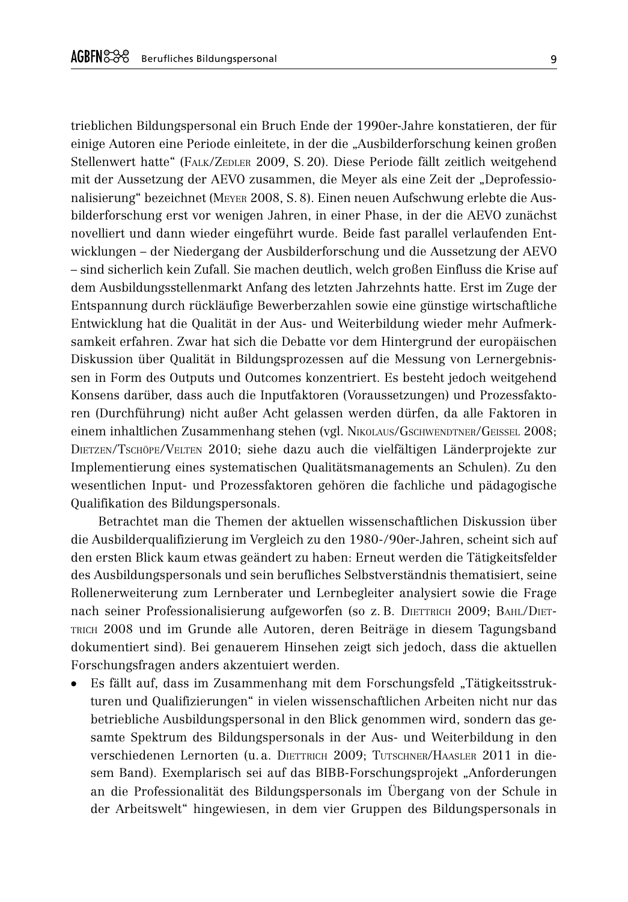trieblichen Bildungspersonal ein Bruch Ende der 1990er-Jahre konstatieren, der für einige Autoren eine Periode einleitete, in der die "Ausbilderforschung keinen großen Stellenwert hatte" (FALK/ZEDLER 2009, S. 20). Diese Periode fällt zeitlich weitgehend mit der Aussetzung der AEVO zusammen, die Meyer als eine Zeit der "Deprofessionalisierung" bezeichnet (MEYER 2008, S. 8). Einen neuen Aufschwung erlebte die Ausbilderforschung erst vor wenigen Jahren, in einer Phase, in der die AEVO zunächst novelliert und dann wieder eingeführt wurde. Beide fast parallel verlaufenden Entwicklungen – der Niedergang der Ausbilderforschung und die Aussetzung der AEVO - sind sicherlich kein Zufall. Sie machen deutlich, welch großen Einfluss die Krise auf dem Ausbildungsstellenmarkt Anfang des letzten Jahrzehnts hatte. Erst im Zuge der Entspannung durch rückläufige Bewerberzahlen sowie eine günstige wirtschaftliche Entwicklung hat die Qualität in der Aus- und Weiterbildung wieder mehr Aufmerksamkeit erfahren. Zwar hat sich die Debatte vor dem Hintergrund der europäischen Diskussion über Qualität in Bildungsprozessen auf die Messung von Lernergebnissen in Form des Outputs und Outcomes konzentriert. Es besteht jedoch weitgehend Konsens darüber, dass auch die Inputfaktoren (Voraussetzungen) und Prozessfaktoren (Durchführung) nicht außer Acht gelassen werden dürfen, da alle Faktoren in einem inhaltlichen Zusammenhang stehen (vgl. NIKOLAUS/GSCHWENDTNER/GEISSEL 2008; DIETZEN/TSCHÖPE/VELTEN 2010; siehe dazu auch die vielfältigen Länderprojekte zur Implementierung eines systematischen Qualitätsmanagements an Schulen). Zu den wesentlichen Input- und Prozessfaktoren gehören die fachliche und pädagogische Qualifikation des Bildungspersonals.

Betrachtet man die Themen der aktuellen wissenschaftlichen Diskussion über die Ausbildergualifizierung im Vergleich zu den 1980-/90er-Jahren, scheint sich auf den ersten Blick kaum etwas geändert zu haben: Erneut werden die Tätigkeitsfelder des Ausbildungspersonals und sein berufliches Selbstverständnis thematisiert, seine Rollenerweiterung zum Lernberater und Lernbegleiter analysiert sowie die Frage nach seiner Professionalisierung aufgeworfen (so z. B. DIETTRICH 2009; BAHL/DIET-TRICH 2008 und im Grunde alle Autoren, deren Beiträge in diesem Tagungsband dokumentiert sind). Bei genauerem Hinsehen zeigt sich jedoch, dass die aktuellen Forschungsfragen anders akzentuiert werden.

Es fällt auf, dass im Zusammenhang mit dem Forschungsfeld "Tätigkeitsstrukturen und Qualifizierungen" in vielen wissenschaftlichen Arbeiten nicht nur das betriebliche Ausbildungspersonal in den Blick genommen wird, sondern das gesamte Spektrum des Bildungspersonals in der Aus- und Weiterbildung in den Verschiedenen Lernorten (u. a. DIETTRICH 2009; TUTSCHNER/HAASLER 2011 in diesem Band). Exemplarisch sei auf das BIBB-Forschungsprojekt "Anforderungen an die Professionalität des Bildungspersonals im Übergang von der Schule in der Arbeitswelt" hingewiesen, in dem vier Gruppen des Bildungspersonals in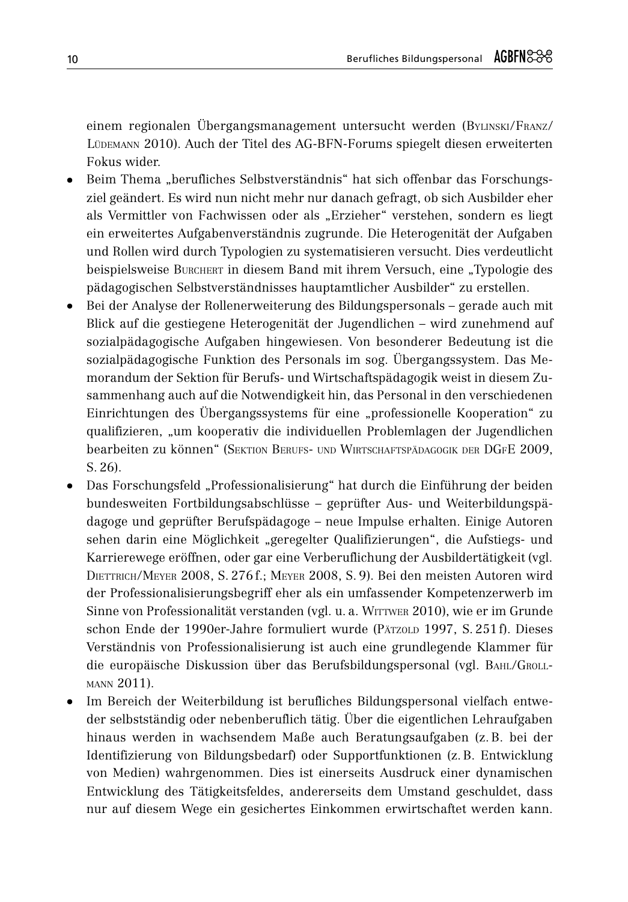einem regionalen Übergangsmanagement untersucht werden (BYLINSKI/FRANZ/ LÜDEMANN 2010). Auch der Titel des AG-BFN-Forums spiegelt diesen erweiterten Fokus wider.

- Beim Thema "berufliches Selbstverständnis" hat sich offenbar das Forschungsziel geändert. Es wird nun nicht mehr nur danach gefragt, ob sich Ausbilder eher als Vermittler von Fachwissen oder als "Erzieher" verstehen, sondern es liegt ein erweitertes Aufgabenverständnis zugrunde. Die Heterogenität der Aufgaben und Rollen wird durch Typologien zu systematisieren versucht. Dies verdeutlicht beispielsweise BURCHERT in diesem Band mit ihrem Versuch, eine "Typologie des pädagogischen Selbstverständnisses hauptamtlicher Ausbilder" zu erstellen.
- Bei der Analyse der Rollenerweiterung des Bildungspersonals gerade auch mit Blick auf die gestiegene Heterogenität der Jugendlichen - wird zunehmend auf sozialpädagogische Aufgaben hingewiesen. Von besonderer Bedeutung ist die sozialpädagogische Funktion des Personals im sog. Übergangssystem. Das Memorandum der Sektion für Berufs- und Wirtschaftspädagogik weist in diesem Zusammenhang auch auf die Notwendigkeit hin, das Personal in den verschiedenen Einrichtungen des Übergangssystems für eine "professionelle Kooperation" zu gualifizieren, "um kooperativ die individuellen Problemlagen der Jugendlichen bearbeiten zu können" (SEKTION BERUFS- UND WIRTSCHAFTSPÄDAGOGIK DER DGFE 2009,  $S. 26.$
- Das Forschungsfeld "Professionalisierung" hat durch die Einführung der beiden bundesweiten Fortbildungsabschlüsse – geprüfter Aus- und Weiterbildungspädagoge und geprüfter Berufspädagoge – neue Impulse erhalten. Einige Autoren sehen darin eine Möglichkeit "geregelter Qualifizierungen", die Aufstiegs- und Karrierewege eröffnen, oder gar eine Verberuflichung der Ausbildertätigkeit (vgl. DIETTRICH/MEYER 2008, S. 276 f.; MEYER 2008, S. 9). Bei den meisten Autoren wird der Professionalisierungsbegriff eher als ein umfassender Kompetenzerwerb im Sinne von Professionalität verstanden (vgl. u. a. WITTWER 2010), wie er im Grunde schon Ende der 1990er-Jahre formuliert wurde (PÄTZOLD 1997, S. 251f). Dieses Verständnis von Professionalisierung ist auch eine grundlegende Klammer für die europäische Diskussion über das Berufsbildungspersonal (vgl. BAHL/GROLL-MANN 2011).
- Im Bereich der Weiterbildung ist berufliches Bildungspersonal vielfach entweder selbstständig oder nebenberuflich tätig. Über die eigentlichen Lehraufgaben hinaus werden in wachsendem Maße auch Beratungsaufgaben (z. B. bei der Identifizierung von Bildungsbedarf) oder Supportfunktionen (z. B. Entwicklung von Medien) wahrgenommen. Dies ist einerseits Ausdruck einer dynamischen Entwicklung des Tätigkeitsfeldes, andererseits dem Umstand geschuldet, dass nur auf diesem Wege ein gesichertes Einkommen erwirtschaftet werden kann.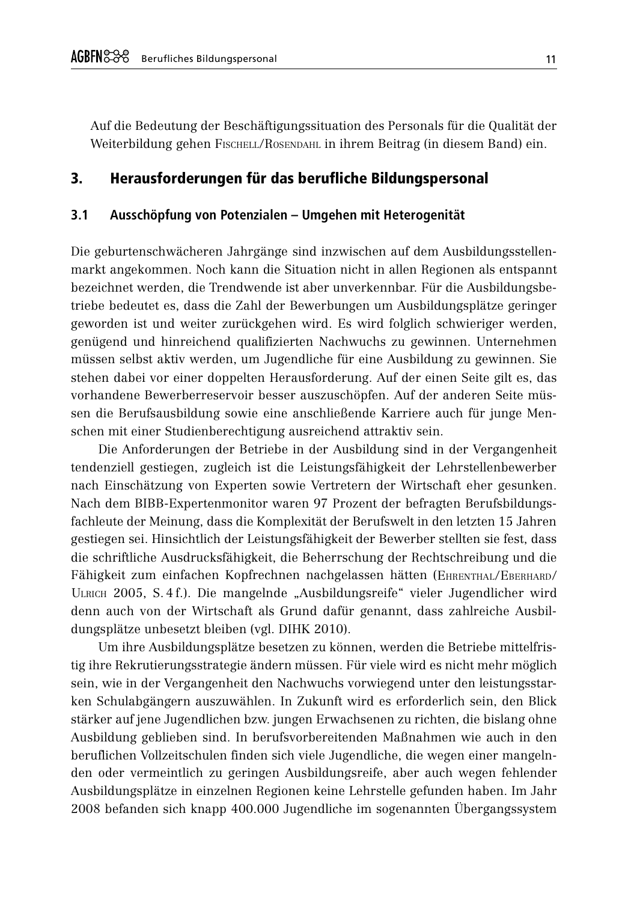Auf die Bedeutung der Beschäftigungssituation des Personals für die Qualität der Weiterbildung gehen FISCHELL/ROSENDAHL in ihrem Beitrag (in diesem Band) ein.

# $\overline{\mathbf{3}}$ Herausforderungen für das berufliche Bildungspersonal

#### $3.1$ Ausschöpfung von Potenzialen - Umgehen mit Heterogenität

Die geburtenschwächeren Jahrgänge sind inzwischen auf dem Ausbildungsstellenmarkt angekommen. Noch kann die Situation nicht in allen Regionen als entspannt bezeichnet werden, die Trendwende ist aber unverkennbar. Für die Ausbildungsbetriebe bedeutet es, dass die Zahl der Bewerbungen um Ausbildungsplätze geringer geworden ist und weiter zurückgehen wird. Es wird folglich schwieriger werden, genügend und hinreichend qualifizierten Nachwuchs zu gewinnen. Unternehmen müssen selbst aktiv werden, um Jugendliche für eine Ausbildung zu gewinnen. Sie stehen dabei vor einer doppelten Herausforderung. Auf der einen Seite gilt es, das vorhandene Bewerberreservoir besser auszuschöpfen. Auf der anderen Seite müssen die Berufsausbildung sowie eine anschließende Karriere auch für junge Menschen mit einer Studienberechtigung ausreichend attraktiv sein.

Die Anforderungen der Betriebe in der Ausbildung sind in der Vergangenheit tendenziell gestiegen, zugleich ist die Leistungsfähigkeit der Lehrstellenbewerber nach Einschätzung von Experten sowie Vertretern der Wirtschaft eher gesunken. Nach dem BIBB-Expertenmonitor waren 97 Prozent der befragten Berufsbildungsfachleute der Meinung, dass die Komplexität der Berufswelt in den letzten 15 Jahren gestiegen sei. Hinsichtlich der Leistungsfähigkeit der Bewerber stellten sie fest, dass die schriftliche Ausdrucksfähigkeit, die Beherrschung der Rechtschreibung und die Fähigkeit zum einfachen Kopfrechnen nachgelassen hätten (EHRENTHAL/EBERHARD/ ULRICH 2005, S.4 f.). Die mangelnde "Ausbildungsreife" vieler Jugendlicher wird denn auch von der Wirtschaft als Grund dafür genannt, dass zahlreiche Ausbildungsplätze unbesetzt bleiben (vgl. DIHK 2010).

Um ihre Ausbildungsplätze besetzen zu können, werden die Betriebe mittelfristig ihre Rekrutierungsstrategie ändern müssen. Für viele wird es nicht mehr möglich sein, wie in der Vergangenheit den Nachwuchs vorwiegend unter den leistungsstarken Schulabgängern auszuwählen. In Zukunft wird es erforderlich sein, den Blick stärker auf jene Jugendlichen bzw. jungen Erwachsenen zu richten, die bislang ohne Ausbildung geblieben sind. In berufsvorbereitenden Maßnahmen wie auch in den beruflichen Vollzeitschulen finden sich viele Jugendliche, die wegen einer mangelnden oder vermeintlich zu geringen Ausbildungsreife, aber auch wegen fehlender Ausbildungsplätze in einzelnen Regionen keine Lehrstelle gefunden haben. Im Jahr 2008 befanden sich knapp 400.000 Jugendliche im sogenannten Übergangssystem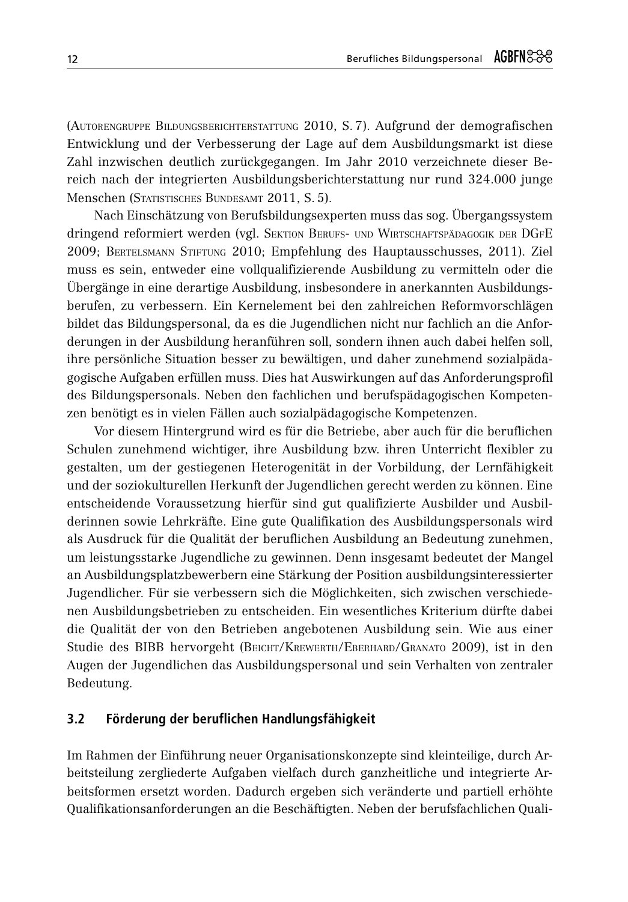(AUTORENGRUPPE BILDUNGSBERICHTERSTATTUNG 2010, S. 7). Aufgrund der demografischen Entwicklung und der Verbesserung der Lage auf dem Ausbildungsmarkt ist diese Zahl inzwischen deutlich zurückgegangen. Im Jahr 2010 verzeichnete dieser Bereich nach der integrierten Ausbildungsberichterstattung nur rund 324.000 junge Menschen (Statistisches Bundesamt 2011, S. 5).

Nach Einschätzung von Berufsbildungsexperten muss das sog. Übergangssystem dringend reformiert werden (vgl. SEKTION BERUFS- UND WIRTSCHAFTSPÄDAGOGIK DER DGFE 2009; BERTELSMANN STIFTUNG 2010; Empfehlung des Hauptausschusses, 2011). Ziel muss es sein, entweder eine vollqualifizierende Ausbildung zu vermitteln oder die Übergänge in eine derartige Ausbildung, insbesondere in anerkannten Ausbildungsberufen, zu verbessern. Ein Kernelement bei den zahlreichen Reformvorschlägen bildet das Bildungspersonal, da es die Jugendlichen nicht nur fachlich an die Anforderungen in der Ausbildung heranführen soll, sondern ihnen auch dabei helfen soll, ihre persönliche Situation besser zu bewältigen, und daher zunehmend sozialpädagogische Aufgaben erfüllen muss. Dies hat Auswirkungen auf das Anforderungsprofil des Bildungspersonals. Neben den fachlichen und berufspädagogischen Kompetenzen benötigt es in vielen Fällen auch sozialpädagogische Kompetenzen.

Vor diesem Hintergrund wird es für die Betriebe, aber auch für die beruflichen Schulen zunehmend wichtiger, ihre Ausbildung bzw. ihren Unterricht flexibler zu gestalten, um der gestiegenen Heterogenität in der Vorbildung, der Lernfähigkeit und der soziokulturellen Herkunft der Jugendlichen gerecht werden zu können. Eine entscheidende Voraussetzung hierfür sind gut qualifizierte Ausbilder und Ausbilderinnen sowie Lehrkräfte. Eine gute Qualifikation des Ausbildungspersonals wird als Ausdruck für die Qualität der beruflichen Ausbildung an Bedeutung zunehmen, um leistungsstarke Jugendliche zu gewinnen. Denn insgesamt bedeutet der Mangel an Ausbildungsplatzbewerbern eine Stärkung der Position ausbildungsinteressierter Jugendlicher. Für sie verbessern sich die Möglichkeiten, sich zwischen verschiedenen Ausbildungsbetrieben zu entscheiden. Ein wesentliches Kriterium dürfte dabei die Qualität der von den Betrieben angebotenen Ausbildung sein. Wie aus einer Studie des BIBB hervorgeht (BEICHT/KREWERTH/EBERHARD/GRANATO 2009), ist in den Augen der Jugendlichen das Ausbildungspersonal und sein Verhalten von zentraler Bedeutung.

#### $3.2$ Förderung der beruflichen Handlungsfähigkeit

Im Rahmen der Einführung neuer Organisationskonzepte sind kleinteilige, durch Arbeitsteilung zergliederte Aufgaben vielfach durch ganzheitliche und integrierte Arbeitsformen ersetzt worden. Dadurch ergeben sich veränderte und partiell erhöhte Qualifikationsanforderungen an die Beschäftigten. Neben der berufsfachlichen Quali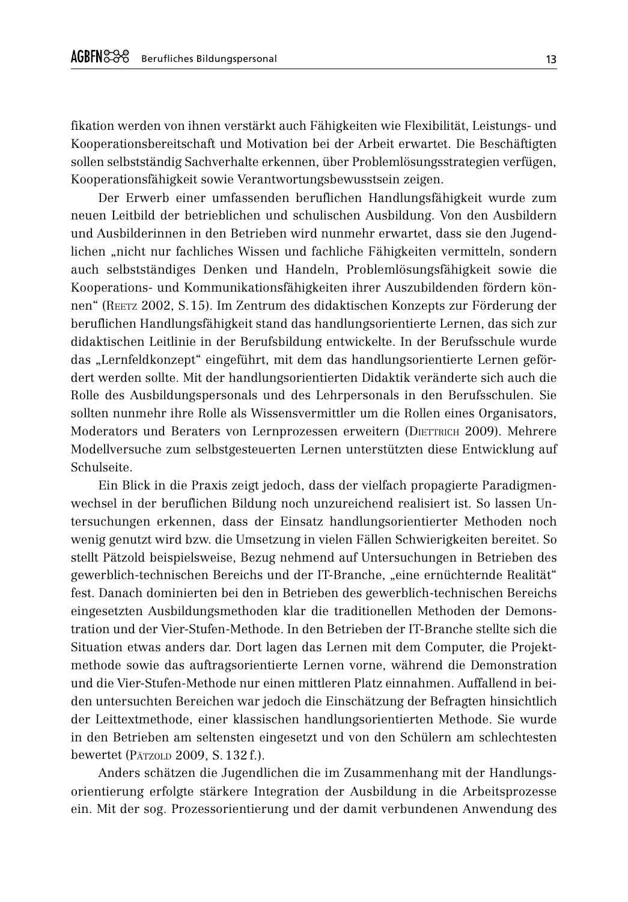fikation werden von ihnen verstärkt auch Fähigkeiten wie Flexibilität. Leistungs- und Kooperationsbereitschaft und Motivation bei der Arbeit erwartet. Die Beschäftigten sollen selbstständig Sachverhalte erkennen, über Problemlösungsstrategien verfügen, Kooperationsfähigkeit sowie Verantwortungsbewusstsein zeigen.

Der Erwerb einer umfassenden beruflichen Handlungsfähigkeit wurde zum neuen Leitbild der betrieblichen und schulischen Ausbildung. Von den Ausbildern und Ausbilderinnen in den Betrieben wird nunmehr erwartet, dass sie den Jugendlichen "nicht nur fachliches Wissen und fachliche Fähigkeiten vermitteln, sondern auch selbstständiges Denken und Handeln, Problemlösungsfähigkeit sowie die Kooperations- und Kommunikationsfähigkeiten ihrer Auszubildenden fördern können" (REETZ 2002, S.15). Im Zentrum des didaktischen Konzepts zur Förderung der beruflichen Handlungsfähigkeit stand das handlungsorientierte Lernen, das sich zur didaktischen Leitlinie in der Berufsbildung entwickelte. In der Berufsschule wurde das "Lernfeldkonzept" eingeführt, mit dem das handlungsorientierte Lernen gefördert werden sollte. Mit der handlungsorientierten Didaktik veränderte sich auch die Rolle des Ausbildungspersonals und des Lehrpersonals in den Berufsschulen. Sie sollten nunmehr ihre Rolle als Wissensvermittler um die Rollen eines Organisators, Moderators und Beraters von Lernprozessen erweitern (DIETTRICH 2009). Mehrere Modellversuche zum selbstgesteuerten Lernen unterstützten diese Entwicklung auf Schulseite.

Ein Blick in die Praxis zeigt jedoch, dass der vielfach propagierte Paradigmenwechsel in der beruflichen Bildung noch unzureichend realisiert ist. So lassen Untersuchungen erkennen, dass der Einsatz handlungsorientierter Methoden noch wenig genutzt wird bzw. die Umsetzung in vielen Fällen Schwierigkeiten bereitet. So stellt Pätzold beispielsweise, Bezug nehmend auf Untersuchungen in Betrieben des gewerblich-technischen Bereichs und der IT-Branche, "eine ernüchternde Realität" fest. Danach dominierten bei den in Betrieben des gewerblich-technischen Bereichs eingesetzten Ausbildungsmethoden klar die traditionellen Methoden der Demonstration und der Vier-Stufen-Methode. In den Betrieben der IT-Branche stellte sich die Situation etwas anders dar. Dort lagen das Lernen mit dem Computer, die Projektmethode sowie das auftragsorientierte Lernen vorne, während die Demonstration und die Vier-Stufen-Methode nur einen mittleren Platz einnahmen. Auffallend in beiden untersuchten Bereichen war jedoch die Einschätzung der Befragten hinsichtlich der Leittextmethode, einer klassischen handlungsorientierten Methode. Sie wurde in den Betrieben am seltensten eingesetzt und von den Schülern am schlechtesten bewertet (PÄTZOLD 2009, S. 132 f.).

Anders schätzen die Jugendlichen die im Zusammenhang mit der Handlungsorientierung erfolgte stärkere Integration der Ausbildung in die Arbeitsprozesse ein. Mit der sog. Prozessorientierung und der damit verbundenen Anwendung des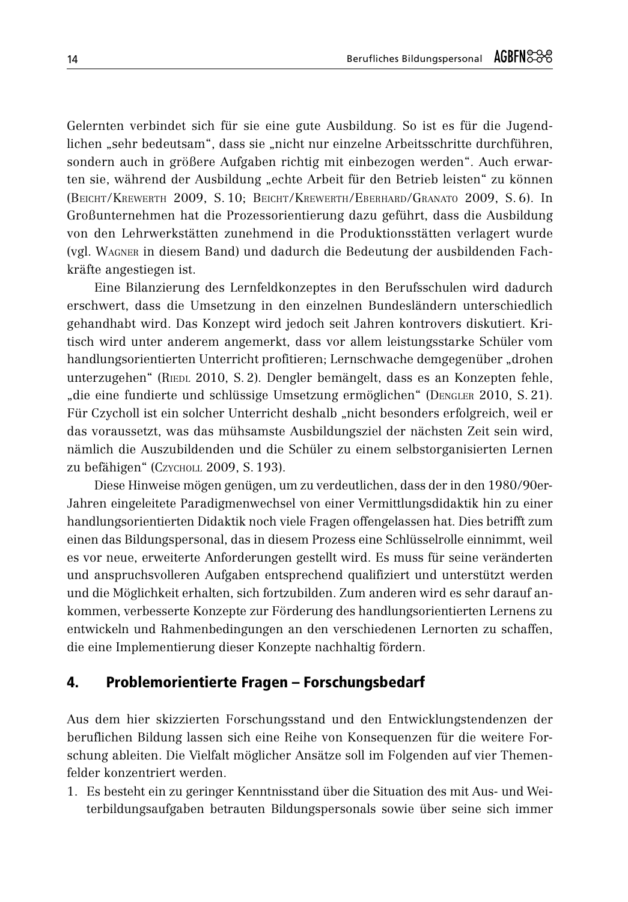Gelernten verbindet sich für sie eine gute Ausbildung. So ist es für die Jugendlichen "sehr bedeutsam", dass sie "nicht nur einzelne Arbeitsschritte durchführen, sondern auch in größere Aufgaben richtig mit einbezogen werden". Auch erwarten sie, während der Ausbildung "echte Arbeit für den Betrieb leisten" zu können (BEICHT/KREWERTH 2009, S.10; BEICHT/KREWERTH/EBERHARD/GRANATO 2009, S.6). In Großunternehmen hat die Prozessorientierung dazu geführt, dass die Ausbildung von den Lehrwerkstätten zunehmend in die Produktionsstätten verlagert wurde (vgl. WAGNER in diesem Band) und dadurch die Bedeutung der ausbildenden Fachkräfte angestiegen ist.

Eine Bilanzierung des Lernfeldkonzeptes in den Berufsschulen wird dadurch erschwert, dass die Umsetzung in den einzelnen Bundesländern unterschiedlich gehandhabt wird. Das Konzept wird jedoch seit Jahren kontrovers diskutiert. Kritisch wird unter anderem angemerkt, dass vor allem leistungsstarke Schüler vom handlungsorientierten Unterricht profitieren; Lernschwache demgegenüber "drohen unterzugehen" (RIEDL 2010, S. 2). Dengler bemängelt, dass es an Konzepten fehle, "die eine fundierte und schlüssige Umsetzung ermöglichen" (DENGLER 2010, S. 21). Für Czycholl ist ein solcher Unterricht deshalb "nicht besonders erfolgreich, weil er das voraussetzt, was das mühsamste Ausbildungsziel der nächsten Zeit sein wird, nämlich die Auszubildenden und die Schüler zu einem selbstorganisierten Lernen zu befähigen" (CZYCHOLL 2009, S. 193).

Diese Hinweise mögen genügen, um zu verdeutlichen, dass der in den 1980/90er-Jahren eingeleitete Paradigmenwechsel von einer Vermittlungsdidaktik hin zu einer handlungsorientierten Didaktik noch viele Fragen offengelassen hat. Dies betrifft zum einen das Bildungspersonal, das in diesem Prozess eine Schlüsselrolle einnimmt, weil es vor neue, erweiterte Anforderungen gestellt wird. Es muss für seine veränderten und anspruchsvolleren Aufgaben entsprechend qualifiziert und unterstützt werden und die Möglichkeit erhalten, sich fortzubilden. Zum anderen wird es sehr darauf ankommen, verbesserte Konzepte zur Förderung des handlungsorientierten Lernens zu entwickeln und Rahmenbedingungen an den verschiedenen Lernorten zu schaffen, die eine Implementierung dieser Konzepte nachhaltig fördern.

### $\mathbf{A}$ Problemorientierte Fragen - Forschungsbedarf

Aus dem hier skizzierten Forschungsstand und den Entwicklungstendenzen der beruflichen Bildung lassen sich eine Reihe von Konsequenzen für die weitere Forschung ableiten. Die Vielfalt möglicher Ansätze soll im Folgenden auf vier Themenfelder konzentriert werden.

1. Es besteht ein zu geringer Kenntnisstand über die Situation des mit Aus- und Weiterbildungsaufgaben betrauten Bildungspersonals sowie über seine sich immer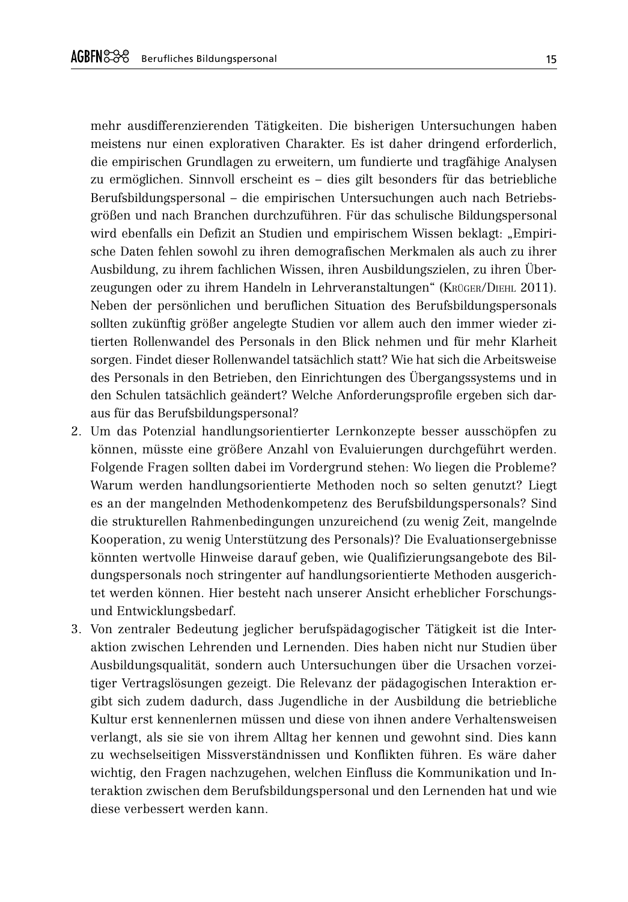mehr ausdifferenzierenden Tätigkeiten. Die bisherigen Untersuchungen haben meistens nur einen explorativen Charakter. Es ist daher dringend erforderlich, die empirischen Grundlagen zu erweitern, um fundierte und tragfähige Analysen zu ermöglichen. Sinnvoll erscheint es – dies gilt besonders für das betriebliche Berufsbildungspersonal – die empirischen Untersuchungen auch nach Betriebsgrößen und nach Branchen durchzuführen. Für das schulische Bildungspersonal wird ebenfalls ein Defizit an Studien und empirischem Wissen beklagt: "Empirische Daten fehlen sowohl zu ihren demografischen Merkmalen als auch zu ihrer Ausbildung, zu ihrem fachlichen Wissen, ihren Ausbildungszielen, zu ihren Überzeugungen oder zu ihrem Handeln in Lehrveranstaltungen" (KRÜGER/DIEHL 2011). Neben der persönlichen und beruflichen Situation des Berufsbildungspersonals sollten zukünftig größer angelegte Studien vor allem auch den immer wieder zitierten Rollenwandel des Personals in den Blick nehmen und für mehr Klarheit sorgen. Findet dieser Rollenwandel tatsächlich statt? Wie hat sich die Arbeitsweise des Personals in den Betrieben, den Einrichtungen des Übergangssystems und in den Schulen tatsächlich geändert? Welche Anforderungsprofile ergeben sich daraus für das Berufsbildungspersonal?

- 2. Um das Potenzial handlungsorientierter Lernkonzepte besser ausschöpfen zu können, müsste eine größere Anzahl von Evaluierungen durchgeführt werden. Folgende Fragen sollten dabei im Vordergrund stehen: Wo liegen die Probleme? Warum werden handlungsorientierte Methoden noch so selten genutzt? Liegt es an der mangelnden Methodenkompetenz des Berufsbildungspersonals? Sind die strukturellen Rahmenbedingungen unzureichend (zu wenig Zeit, mangelnde Kooperation, zu wenig Unterstützung des Personals)? Die Evaluationsergebnisse könnten wertvolle Hinweise darauf geben, wie Qualifizierungsangebote des Bildungspersonals noch stringenter auf handlungsorientierte Methoden ausgerichtet werden können. Hier besteht nach unserer Ansicht erheblicher Forschungsund Entwicklungsbedarf.
- 3. Von zentraler Bedeutung jeglicher berufspädagogischer Tätigkeit ist die Interaktion zwischen Lehrenden und Lernenden. Dies haben nicht nur Studien über Ausbildungsqualität, sondern auch Untersuchungen über die Ursachen vorzeitiger Vertragslösungen gezeigt. Die Relevanz der pädagogischen Interaktion ergibt sich zudem dadurch, dass Jugendliche in der Ausbildung die betriebliche Kultur erst kennenlernen müssen und diese von ihnen andere Verhaltensweisen verlangt, als sie sie von ihrem Alltag her kennen und gewohnt sind. Dies kann zu wechselseitigen Missverständnissen und Konflikten führen. Es wäre daher wichtig, den Fragen nachzugehen, welchen Einfluss die Kommunikation und Interaktion zwischen dem Berufsbildungspersonal und den Lernenden hat und wie diese verbessert werden kann.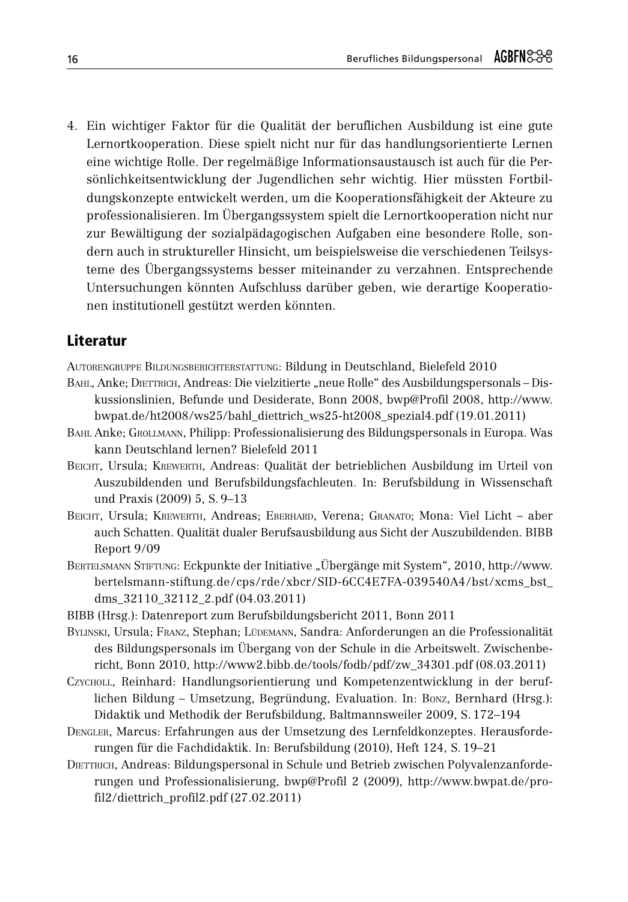4. Ein wichtiger Faktor für die Qualität der beruflichen Ausbildung ist eine gute Lernortkooperation. Diese spielt nicht nur für das handlungsorientierte Lernen eine wichtige Rolle. Der regelmäßige Informationsaustausch ist auch für die Persönlichkeitsentwicklung der Jugendlichen sehr wichtig. Hier müssten Fortbildungskonzepte entwickelt werden, um die Kooperationsfähigkeit der Akteure zu professionalisieren. Im Übergangssystem spielt die Lernortkooperation nicht nur zur Bewältigung der sozialpädagogischen Aufgaben eine besondere Rolle, sondern auch in struktureller Hinsicht, um beispielsweise die verschiedenen Teilsysteme des Übergangssystems besser miteinander zu verzahnen. Entsprechende Untersuchungen könnten Aufschluss darüber geben, wie derartige Kooperationen institutionell gestützt werden könnten.

# Literatur

AUTORENGRUPPE BILDUNGSBERICHTERSTATTUNG: Bildung in Deutschland, Bielefeld 2010

- BAHL, Anke; DIETTRICH, Andreas: Die vielzitierte "neue Rolle" des Ausbildungspersonals Diskussionslinien, Befunde und Desiderate, Bonn 2008, bwp@Profil 2008, http://www. bwpat.de/ht2008/ws25/bahl\_diettrich\_ws25-ht2008\_spezial4.pdf (19.01.2011)
- BAHL Anke; GROLLMANN, Philipp: Professionalisierung des Bildungspersonals in Europa. Was kann Deutschland lernen? Bielefeld 2011
- BEICHT. Ursula: KREWERTH, Andreas: Qualität der betrieblichen Ausbildung im Urteil von Auszubildenden und Berufsbildungsfachleuten. In: Berufsbildung in Wissenschaft und Praxis (2009) 5, S, 9-13
- BEICHT, Ursula; KREWERTH, Andreas; EBERHARD, Verena; GRANATO; Mona: Viel Licht aber auch Schatten. Qualität dualer Berufsausbildung aus Sicht der Auszubildenden. BIBB Report 9/09
- BERTELSMANN STIFTUNG: Eckpunkte der Initiative "Übergänge mit System", 2010, http://www. bertelsmann-stiftung.de/cps/rde/xbcr/SID-6CC4E7FA-039540A4/bst/xcms bst dms 32110 32112 2.pdf (04.03.2011)
- BIBB (Hrsg.): Datenreport zum Berufsbildungsbericht 2011, Bonn 2011
- BYLINSKI, Ursula; FRANZ, Stephan; LÜDEMANN, Sandra: Anforderungen an die Professionalität des Bildungspersonals im Übergang von der Schule in die Arbeitswelt. Zwischenbericht, Bonn 2010, http://www2.bibb.de/tools/fodb/pdf/zw\_34301.pdf (08.03.2011)
- CZYCHOLL, Reinhard: Handlungsorientierung und Kompetenzentwicklung in der beruflichen Bildung - Umsetzung, Begründung, Evaluation. In: Bonz, Bernhard (Hrsg.): Didaktik und Methodik der Berufsbildung, Baltmannsweiler 2009, S. 172–194
- DENGLER, Marcus: Erfahrungen aus der Umsetzung des Lernfeldkonzeptes. Herausforderungen für die Fachdidaktik. In: Berufsbildung (2010), Heft 124, S. 19–21
- DIETTRICH, Andreas: Bildungspersonal in Schule und Betrieb zwischen Polyvalenzanforderungen und Professionalisierung, bwp@Profil 2 (2009), http://www.bwpat.de/profil2/diettrich\_profil2.pdf (27.02.2011)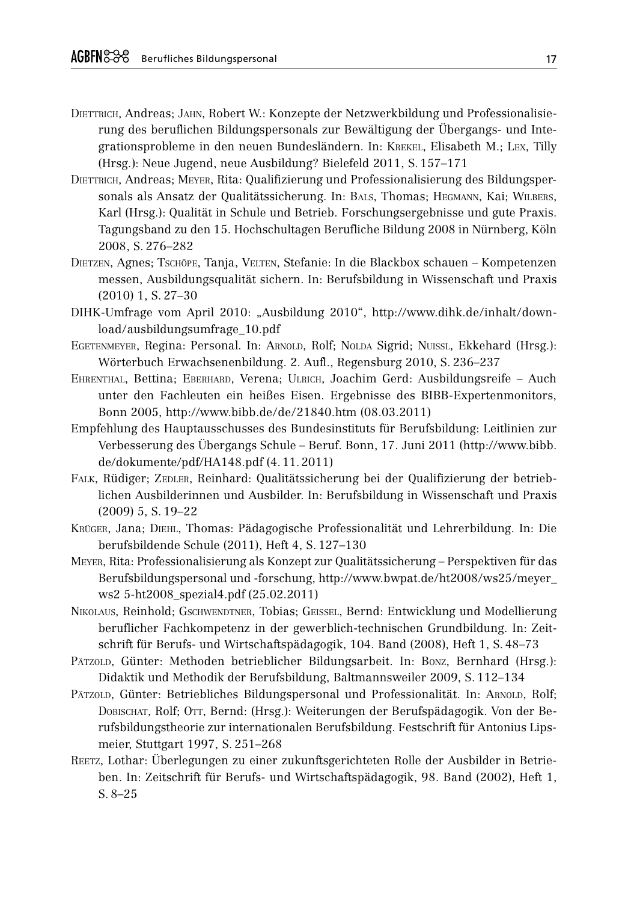- DIETTRICH, Andreas; JAHN, Robert W.: Konzepte der Netzwerkbildung und Professionalisierung des beruflichen Bildungspersonals zur Bewältigung der Übergangs- und Integrationsprobleme in den neuen Bundesländern. In: KREKEL, Elisabeth M.; LEX, Tilly (Hrsg.): Neue Jugend, neue Ausbildung? Bielefeld 2011, S. 157–171
- DIETTRICH, Andreas; MEYER, Rita: Qualifizierung und Professionalisierung des Bildungspersonals als Ansatz der Qualitätssicherung. In: BALS, Thomas; HEGMANN, Kai; WILBERS, Karl (Hrsg.): Qualität in Schule und Betrieb. Forschungsergebnisse und gute Praxis. Tagungsband zu den 15. Hochschultagen Berufliche Bildung 2008 in Nürnberg, Köln 2008, S. 276-282
- DIETZEN, Agnes; TSCHÖPE, Tanja, VELTEN, Stefanie: In die Blackbox schauen Kompetenzen messen, Ausbildungsqualität sichern. In: Berufsbildung in Wissenschaft und Praxis  $(2010)$  1, S. 27-30
- DIHK-Umfrage vom April 2010: "Ausbildung 2010", http://www.dihk.de/inhalt/download/ausbildungsumfrage 10.pdf
- EGETENMEYER, Regina: Personal. In: ARNOLD, Rolf; NOLDA Sigrid; NUISSL, Ekkehard (Hrsg.): Wörterbuch Erwachsenenbildung. 2. Aufl., Regensburg 2010, S. 236-237
- EHRENTHAL, Bettina; EBERHARD, Verena; ULRICH, Joachim Gerd: Ausbildungsreife Auch unter den Fachleuten ein heißes Eisen. Ergebnisse des BIBB-Expertenmonitors, Bonn 2005, http://www.bibb.de/de/21840.htm (08.03.2011)
- Empfehlung des Hauptausschusses des Bundesinstituts für Berufsbildung: Leitlinien zur Verbesserung des Übergangs Schule – Beruf. Bonn, 17. Juni 2011 (http://www.bibb. de/dokumente/pdf/HA148.pdf (4.11.2011)
- FALK, Rüdiger; ZEDLER, Reinhard: Qualitätssicherung bei der Qualifizierung der betrieblichen Ausbilderinnen und Ausbilder. In: Berufsbildung in Wissenschaft und Praxis  $(2009)$  5, S,  $19-22$
- KRÜGER, Jana; DIEHL, Thomas: Pädagogische Professionalität und Lehrerbildung. In: Die berufsbildende Schule (2011), Heft 4, S. 127-130
- MEYER, Rita: Professionalisierung als Konzept zur Qualitätssicherung Perspektiven für das Berufsbildungspersonal und -forschung, http://www.bwpat.de/ht2008/ws25/meyer\_ ws2 5-ht2008\_spezial4.pdf (25.02.2011)
- NIKOLAUS, Reinhold; GSCHWENDTNER, Tobias; GEISSEL, Bernd: Entwicklung und Modellierung beruflicher Fachkompetenz in der gewerblich-technischen Grundbildung. In: Zeitschrift für Berufs- und Wirtschaftspädagogik, 104. Band (2008), Heft 1, S. 48-73
- PÄTZOLD, Günter: Methoden betrieblicher Bildungsarbeit. In: BONZ, Bernhard (Hrsg.): Didaktik und Methodik der Berufsbildung, Baltmannsweiler 2009, S. 112-134
- PÄTZOLD, Günter: Betriebliches Bildungspersonal und Professionalität. In: ARNOLD, Rolf; DOBISCHAT, Rolf; OTT, Bernd: (Hrsg.): Weiterungen der Berufspädagogik. Von der Berufsbildungstheorie zur internationalen Berufsbildung. Festschrift für Antonius Lipsmeier, Stuttgart 1997, S. 251-268
- REETZ, Lothar: Überlegungen zu einer zukunftsgerichteten Rolle der Ausbilder in Betrieben. In: Zeitschrift für Berufs- und Wirtschaftspädagogik, 98. Band (2002), Heft 1,  $S. 8-25$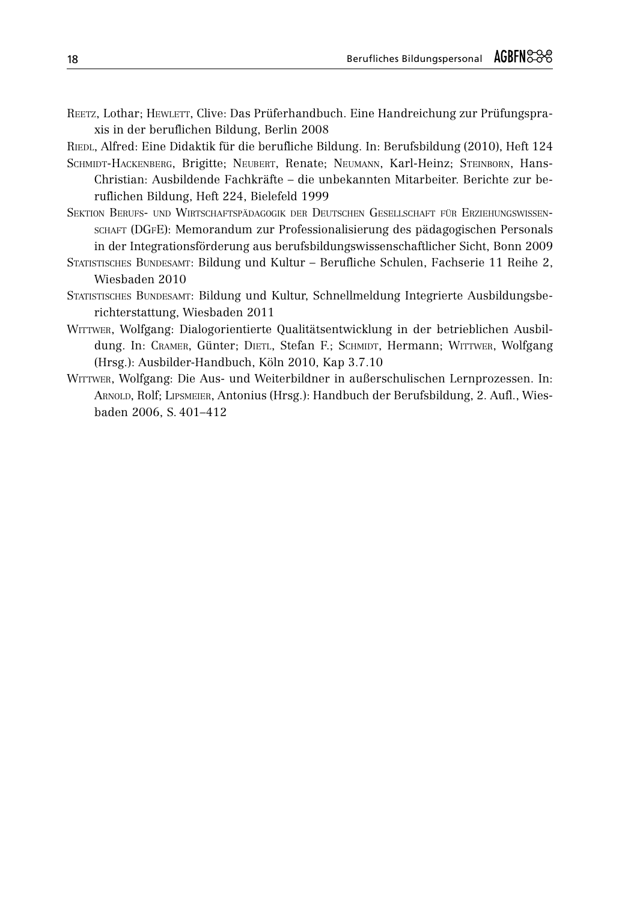REETZ, Lothar: HEWLETT, Clive: Das Prüferhandbuch. Eine Handreichung zur Prüfungspraxis in der beruflichen Bildung, Berlin 2008

RIEDL, Alfred: Eine Didaktik für die berufliche Bildung. In: Berufsbildung (2010), Heft 124

- SCHMIDT-HACKENBERG, Brigitte; NEUBERT, Renate; NEUMANN, Karl-Heinz; STEINBORN, Hans-Christian: Ausbildende Fachkräfte – die unbekannten Mitarbeiter. Berichte zur beruflichen Bildung, Heft 224, Bielefeld 1999
- SEKTION BERUFS- UND WIRTSCHAFTSPÄDAGOGIK DER DEUTSCHEN GESELLSCHAFT FÜR ERZIEHUNGSWISSEN-SCHAFT (DGFE): Memorandum zur Professionalisierung des pädagogischen Personals in der Integrationsförderung aus berufsbildungswissenschaftlicher Sicht, Bonn 2009
- STATISTISCHES BUNDESAMT: Bildung und Kultur Berufliche Schulen, Fachserie 11 Reihe 2, Wiesbaden 2010
- STATISTISCHES BUNDESAMT: Bildung und Kultur, Schnellmeldung Integrierte Ausbildungsberichterstattung, Wiesbaden 2011
- WITTWER, Wolfgang: Dialogorientierte Qualitätsentwicklung in der betrieblichen Ausbildung. In: CRAMER, Günter; DIETL, Stefan F.; SCHMIDT, Hermann; WITTWER, Wolfgang (Hrsg.): Ausbilder-Handbuch, Köln 2010, Kap 3.7.10
- WITTWER, Wolfgang: Die Aus- und Weiterbildner in außerschulischen Lernprozessen. In: ARNOLD, Rolf; LIPSMEIER, Antonius (Hrsg.): Handbuch der Berufsbildung, 2. Aufl., Wiesbaden 2006, S. 401-412